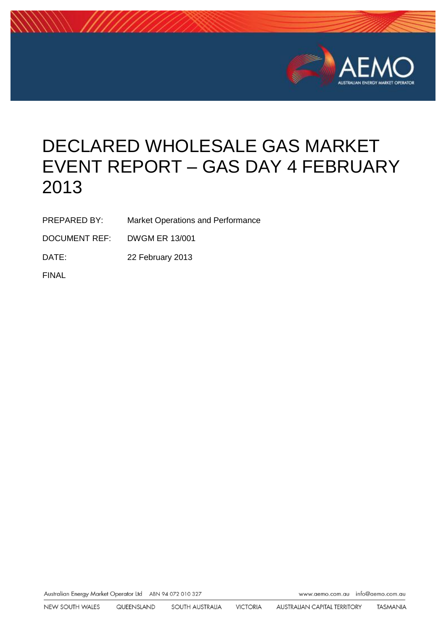

# DECLARED WHOLESALE GAS MARKET EVENT REPORT – GAS DAY 4 FEBRUARY 2013

PREPARED BY: Market Operations and Performance

DOCUMENT REF: DWGM ER 13/001

DATE: 22 February 2013

FINAL

Australian Energy Market Operator Ltd ABN 94 072 010 327 Www.aemo.com.au info@aemo.com.au info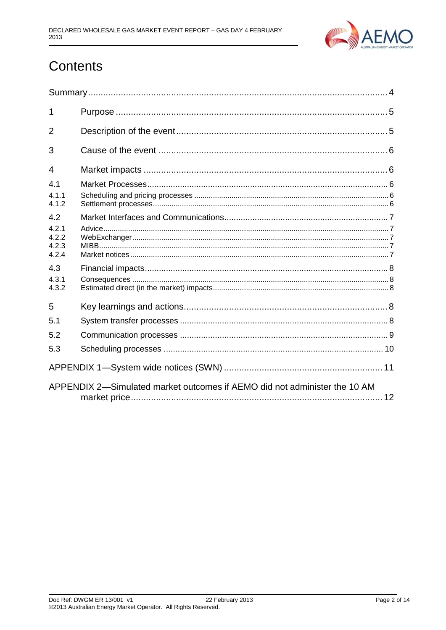

## Contents

| 1                                |                                                                           |  |  |  |
|----------------------------------|---------------------------------------------------------------------------|--|--|--|
| $\overline{2}$                   |                                                                           |  |  |  |
| 3                                |                                                                           |  |  |  |
| 4                                |                                                                           |  |  |  |
| 4.1                              |                                                                           |  |  |  |
| 4.1.1<br>4.1.2                   |                                                                           |  |  |  |
| 4.2                              |                                                                           |  |  |  |
| 4.2.1<br>4.2.2<br>4.2.3<br>4.2.4 |                                                                           |  |  |  |
| 4.3                              |                                                                           |  |  |  |
| 431<br>4.3.2                     |                                                                           |  |  |  |
| 5                                |                                                                           |  |  |  |
| 5.1                              |                                                                           |  |  |  |
| 5.2                              |                                                                           |  |  |  |
| 5.3                              |                                                                           |  |  |  |
|                                  |                                                                           |  |  |  |
|                                  | APPENDIX 2-Simulated market outcomes if AEMO did not administer the 10 AM |  |  |  |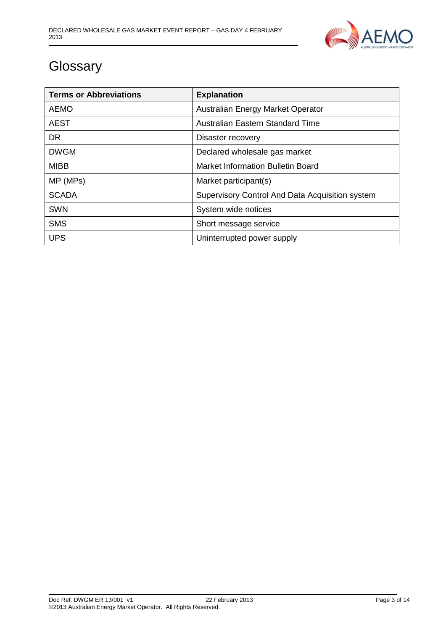

## **Glossary**

| <b>Terms or Abbreviations</b> | <b>Explanation</b>                              |
|-------------------------------|-------------------------------------------------|
| <b>AEMO</b>                   | Australian Energy Market Operator               |
| <b>AEST</b>                   | Australian Eastern Standard Time                |
| <b>DR</b>                     | Disaster recovery                               |
| <b>DWGM</b>                   | Declared wholesale gas market                   |
| <b>MIBB</b>                   | <b>Market Information Bulletin Board</b>        |
| MP (MPs)                      | Market participant(s)                           |
| <b>SCADA</b>                  | Supervisory Control And Data Acquisition system |
| <b>SWN</b>                    | System wide notices                             |
| <b>SMS</b>                    | Short message service                           |
| <b>UPS</b>                    | Uninterrupted power supply                      |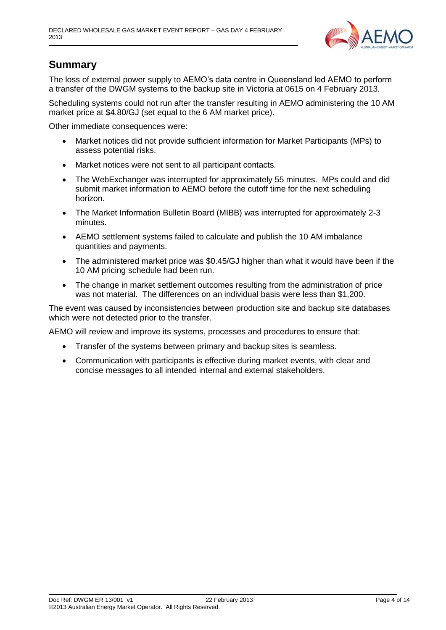

## <span id="page-3-0"></span>**Summary**

The loss of external power supply to AEMO's data centre in Queensland led AEMO to perform a transfer of the DWGM systems to the backup site in Victoria at 0615 on 4 February 2013.

Scheduling systems could not run after the transfer resulting in AEMO administering the 10 AM market price at \$4.80/GJ (set equal to the 6 AM market price).

Other immediate consequences were:

- Market notices did not provide sufficient information for Market Participants (MPs) to assess potential risks.
- Market notices were not sent to all participant contacts.
- The WebExchanger was interrupted for approximately 55 minutes. MPs could and did submit market information to AEMO before the cutoff time for the next scheduling horizon.
- The Market Information Bulletin Board (MIBB) was interrupted for approximately 2-3 minutes.
- AEMO settlement systems failed to calculate and publish the 10 AM imbalance quantities and payments.
- The administered market price was \$0.45/GJ higher than what it would have been if the 10 AM pricing schedule had been run.
- The change in market settlement outcomes resulting from the administration of price was not material. The differences on an individual basis were less than \$1,200.

The event was caused by inconsistencies between production site and backup site databases which were not detected prior to the transfer.

AEMO will review and improve its systems, processes and procedures to ensure that:

- Transfer of the systems between primary and backup sites is seamless.
- Communication with participants is effective during market events, with clear and concise messages to all intended internal and external stakeholders.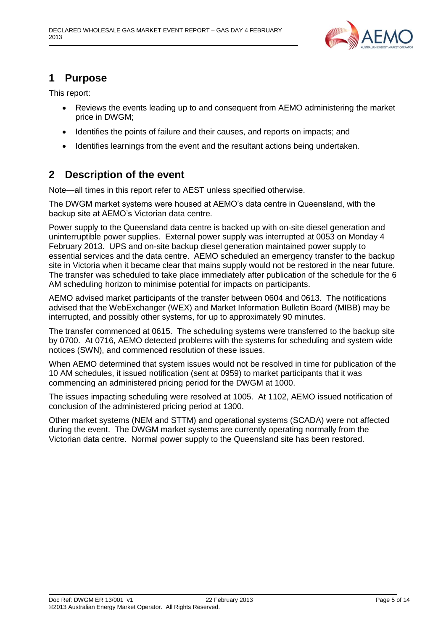

## <span id="page-4-0"></span>**1 Purpose**

This report:

- Reviews the events leading up to and consequent from AEMO administering the market price in DWGM;
- Identifies the points of failure and their causes, and reports on impacts; and
- Identifies learnings from the event and the resultant actions being undertaken.

## <span id="page-4-1"></span>**2 Description of the event**

Note—all times in this report refer to AEST unless specified otherwise.

The DWGM market systems were housed at AEMO's data centre in Queensland, with the backup site at AEMO's Victorian data centre.

Power supply to the Queensland data centre is backed up with on-site diesel generation and uninterruptible power supplies. External power supply was interrupted at 0053 on Monday 4 February 2013. UPS and on-site backup diesel generation maintained power supply to essential services and the data centre. AEMO scheduled an emergency transfer to the backup site in Victoria when it became clear that mains supply would not be restored in the near future. The transfer was scheduled to take place immediately after publication of the schedule for the 6 AM scheduling horizon to minimise potential for impacts on participants.

AEMO advised market participants of the transfer between 0604 and 0613. The notifications advised that the WebExchanger (WEX) and Market Information Bulletin Board (MIBB) may be interrupted, and possibly other systems, for up to approximately 90 minutes.

The transfer commenced at 0615. The scheduling systems were transferred to the backup site by 0700. At 0716, AEMO detected problems with the systems for scheduling and system wide notices (SWN), and commenced resolution of these issues.

When AEMO determined that system issues would not be resolved in time for publication of the 10 AM schedules, it issued notification (sent at 0959) to market participants that it was commencing an administered pricing period for the DWGM at 1000.

The issues impacting scheduling were resolved at 1005. At 1102, AEMO issued notification of conclusion of the administered pricing period at 1300.

Other market systems (NEM and STTM) and operational systems (SCADA) were not affected during the event. The DWGM market systems are currently operating normally from the Victorian data centre. Normal power supply to the Queensland site has been restored.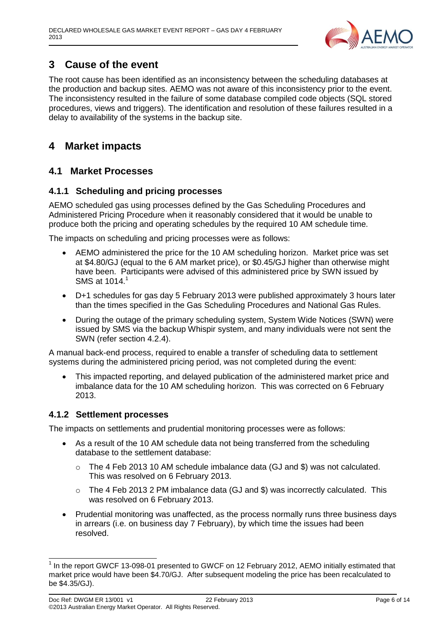

## <span id="page-5-0"></span>**3 Cause of the event**

The root cause has been identified as an inconsistency between the scheduling databases at the production and backup sites. AEMO was not aware of this inconsistency prior to the event. The inconsistency resulted in the failure of some database compiled code objects (SQL stored procedures, views and triggers). The identification and resolution of these failures resulted in a delay to availability of the systems in the backup site.

## <span id="page-5-1"></span>**4 Market impacts**

#### <span id="page-5-2"></span>**4.1 Market Processes**

#### <span id="page-5-3"></span>**4.1.1 Scheduling and pricing processes**

AEMO scheduled gas using processes defined by the Gas Scheduling Procedures and Administered Pricing Procedure when it reasonably considered that it would be unable to produce both the pricing and operating schedules by the required 10 AM schedule time.

The impacts on scheduling and pricing processes were as follows:

- AEMO administered the price for the 10 AM scheduling horizon. Market price was set at \$4.80/GJ (equal to the 6 AM market price), or \$0.45/GJ higher than otherwise might have been. Participants were advised of this administered price by SWN issued by SMS at 1014. 1
- D+1 schedules for gas day 5 February 2013 were published approximately 3 hours later than the times specified in the Gas Scheduling Procedures and National Gas Rules.
- During the outage of the primary scheduling system, System Wide Notices (SWN) were issued by SMS via the backup Whispir system, and many individuals were not sent the SWN (refer section [4.2.4\)](#page-6-4).

A manual back-end process, required to enable a transfer of scheduling data to settlement systems during the administered pricing period, was not completed during the event:

 This impacted reporting, and delayed publication of the administered market price and imbalance data for the 10 AM scheduling horizon. This was corrected on 6 February 2013.

#### <span id="page-5-4"></span>**4.1.2 Settlement processes**

The impacts on settlements and prudential monitoring processes were as follows:

- As a result of the 10 AM schedule data not being transferred from the scheduling database to the settlement database:
	- $\circ$  The 4 Feb 2013 10 AM schedule imbalance data (GJ and \$) was not calculated. This was resolved on 6 February 2013.
	- o The 4 Feb 2013 2 PM imbalance data (GJ and \$) was incorrectly calculated. This was resolved on 6 February 2013.
- Prudential monitoring was unaffected, as the process normally runs three business days in arrears (i.e. on business day 7 February), by which time the issues had been resolved.

 1 In the report GWCF 13-098-01 presented to GWCF on 12 February 2012, AEMO initially estimated that market price would have been \$4.70/GJ. After subsequent modeling the price has been recalculated to be \$4.35/GJ).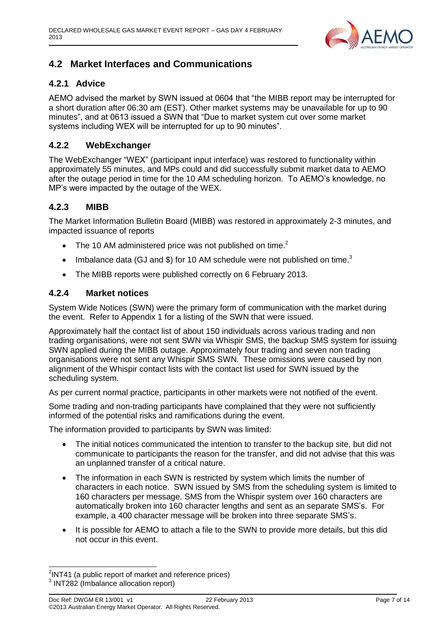

### <span id="page-6-0"></span>**4.2 Market Interfaces and Communications**

#### <span id="page-6-1"></span>**4.2.1 Advice**

AEMO advised the market by SWN issued at 0604 that "the MIBB report may be interrupted for a short duration after 06:30 am (EST). Other market systems may be unavailable for up to 90 minutes", and at 0613 issued a SWN that "Due to market system cut over some market systems including WEX will be interrupted for up to 90 minutes".

#### <span id="page-6-2"></span>**4.2.2 WebExchanger**

The WebExchanger "WEX" (participant input interface) was restored to functionality within approximately 55 minutes, and MPs could and did successfully submit market data to AEMO after the outage period in time for the 10 AM scheduling horizon. To AEMO's knowledge, no MP's were impacted by the outage of the WEX.

#### <span id="page-6-3"></span>**4.2.3 MIBB**

The Market Information Bulletin Board (MIBB) was restored in approximately 2-3 minutes, and impacted issuance of reports

- The 10 AM administered price was not published on time.<sup>2</sup>
- Imbalance data (GJ and \$) for 10 AM schedule were not published on time.<sup>3</sup>
- The MIBB reports were published correctly on 6 February 2013.

#### <span id="page-6-4"></span>**4.2.4 Market notices**

System Wide Notices (SWN) were the primary form of communication with the market during the event. Refer to Appendix 1 for a listing of the SWN that were issued.

Approximately half the contact list of about 150 individuals across various trading and non trading organisations, were not sent SWN via Whispir SMS, the backup SMS system for issuing SWN applied during the MIBB outage. Approximately four trading and seven non trading organisations were not sent any Whispir SMS SWN. These omissions were caused by non alignment of the Whispir contact lists with the contact list used for SWN issued by the scheduling system.

As per current normal practice, participants in other markets were not notified of the event.

Some trading and non-trading participants have complained that they were not sufficiently informed of the potential risks and ramifications during the event.

The information provided to participants by SWN was limited:

- The initial notices communicated the intention to transfer to the backup site, but did not communicate to participants the reason for the transfer, and did not advise that this was an unplanned transfer of a critical nature.
- The information in each SWN is restricted by system which limits the number of characters in each notice. SWN issued by SMS from the scheduling system is limited to 160 characters per message. SMS from the Whispir system over 160 characters are automatically broken into 160 character lengths and sent as an separate SMS's. For example, a 400 character message will be broken into three separate SMS's.
- It is possible for AEMO to attach a file to the SWN to provide more details, but this did not occur in this event.

 2 INT41 (a public report of market and reference prices) <sup>3</sup> INT282 (Imbalance allocation report)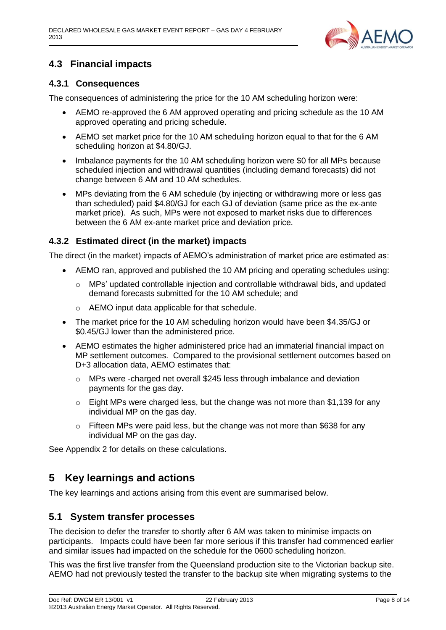

### <span id="page-7-0"></span>**4.3 Financial impacts**

#### <span id="page-7-1"></span>**4.3.1 Consequences**

The consequences of administering the price for the 10 AM scheduling horizon were:

- AEMO re-approved the 6 AM approved operating and pricing schedule as the 10 AM approved operating and pricing schedule.
- AEMO set market price for the 10 AM scheduling horizon equal to that for the 6 AM scheduling horizon at \$4.80/GJ.
- Imbalance payments for the 10 AM scheduling horizon were \$0 for all MPs because scheduled injection and withdrawal quantities (including demand forecasts) did not change between 6 AM and 10 AM schedules.
- MPs deviating from the 6 AM schedule (by injecting or withdrawing more or less gas than scheduled) paid \$4.80/GJ for each GJ of deviation (same price as the ex-ante market price). As such, MPs were not exposed to market risks due to differences between the 6 AM ex-ante market price and deviation price.

#### <span id="page-7-2"></span>**4.3.2 Estimated direct (in the market) impacts**

The direct (in the market) impacts of AEMO's administration of market price are estimated as:

- AEMO ran, approved and published the 10 AM pricing and operating schedules using:
	- $\circ$  MPs' updated controllable injection and controllable withdrawal bids, and updated demand forecasts submitted for the 10 AM schedule; and
	- o AEMO input data applicable for that schedule.
- The market price for the 10 AM scheduling horizon would have been \$4.35/GJ or \$0.45/GJ lower than the administered price.
- AEMO estimates the higher administered price had an immaterial financial impact on MP settlement outcomes. Compared to the provisional settlement outcomes based on D+3 allocation data, AEMO estimates that:
	- o MPs were -charged net overall \$245 less through imbalance and deviation payments for the gas day.
	- o Eight MPs were charged less, but the change was not more than \$1,139 for any individual MP on the gas day.
	- $\circ$  Fifteen MPs were paid less, but the change was not more than \$638 for any individual MP on the gas day.

See Appendix 2 for details on these calculations.

## <span id="page-7-3"></span>**5 Key learnings and actions**

The key learnings and actions arising from this event are summarised below.

#### <span id="page-7-4"></span>**5.1 System transfer processes**

The decision to defer the transfer to shortly after 6 AM was taken to minimise impacts on participants. Impacts could have been far more serious if this transfer had commenced earlier and similar issues had impacted on the schedule for the 0600 scheduling horizon.

This was the first live transfer from the Queensland production site to the Victorian backup site. AEMO had not previously tested the transfer to the backup site when migrating systems to the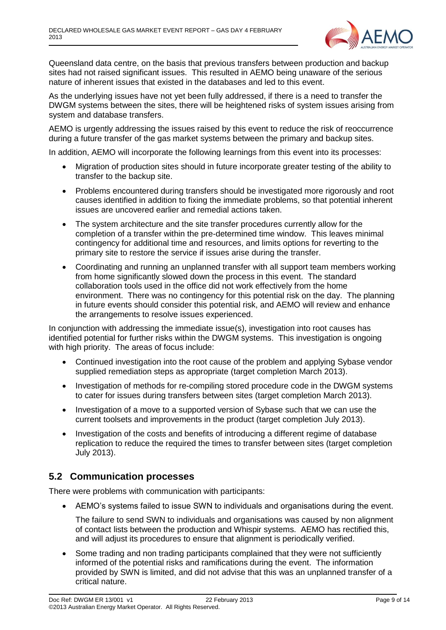

Queensland data centre, on the basis that previous transfers between production and backup sites had not raised significant issues. This resulted in AEMO being unaware of the serious nature of inherent issues that existed in the databases and led to this event.

As the underlying issues have not yet been fully addressed, if there is a need to transfer the DWGM systems between the sites, there will be heightened risks of system issues arising from system and database transfers.

AEMO is urgently addressing the issues raised by this event to reduce the risk of reoccurrence during a future transfer of the gas market systems between the primary and backup sites.

In addition, AEMO will incorporate the following learnings from this event into its processes:

- Migration of production sites should in future incorporate greater testing of the ability to transfer to the backup site.
- Problems encountered during transfers should be investigated more rigorously and root causes identified in addition to fixing the immediate problems, so that potential inherent issues are uncovered earlier and remedial actions taken.
- The system architecture and the site transfer procedures currently allow for the completion of a transfer within the pre-determined time window. This leaves minimal contingency for additional time and resources, and limits options for reverting to the primary site to restore the service if issues arise during the transfer.
- Coordinating and running an unplanned transfer with all support team members working from home significantly slowed down the process in this event. The standard collaboration tools used in the office did not work effectively from the home environment. There was no contingency for this potential risk on the day. The planning in future events should consider this potential risk, and AEMO will review and enhance the arrangements to resolve issues experienced.

In conjunction with addressing the immediate issue(s), investigation into root causes has identified potential for further risks within the DWGM systems. This investigation is ongoing with high priority. The areas of focus include:

- Continued investigation into the root cause of the problem and applying Sybase vendor supplied remediation steps as appropriate (target completion March 2013).
- Investigation of methods for re-compiling stored procedure code in the DWGM systems to cater for issues during transfers between sites (target completion March 2013).
- Investigation of a move to a supported version of Sybase such that we can use the current toolsets and improvements in the product (target completion July 2013).
- Investigation of the costs and benefits of introducing a different regime of database replication to reduce the required the times to transfer between sites (target completion July 2013).

#### <span id="page-8-0"></span>**5.2 Communication processes**

There were problems with communication with participants:

AEMO's systems failed to issue SWN to individuals and organisations during the event.

The failure to send SWN to individuals and organisations was caused by non alignment of contact lists between the production and Whispir systems. AEMO has rectified this, and will adjust its procedures to ensure that alignment is periodically verified.

 Some trading and non trading participants complained that they were not sufficiently informed of the potential risks and ramifications during the event. The information provided by SWN is limited, and did not advise that this was an unplanned transfer of a critical nature.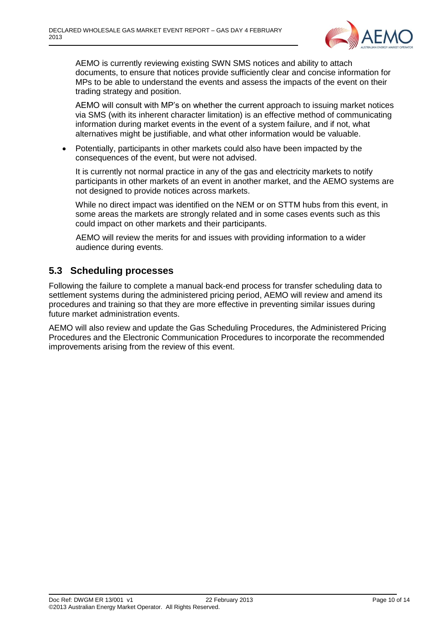

AEMO is currently reviewing existing SWN SMS notices and ability to attach documents, to ensure that notices provide sufficiently clear and concise information for MPs to be able to understand the events and assess the impacts of the event on their trading strategy and position.

AEMO will consult with MP's on whether the current approach to issuing market notices via SMS (with its inherent character limitation) is an effective method of communicating information during market events in the event of a system failure, and if not, what alternatives might be justifiable, and what other information would be valuable.

 Potentially, participants in other markets could also have been impacted by the consequences of the event, but were not advised.

It is currently not normal practice in any of the gas and electricity markets to notify participants in other markets of an event in another market, and the AEMO systems are not designed to provide notices across markets.

While no direct impact was identified on the NEM or on STTM hubs from this event, in some areas the markets are strongly related and in some cases events such as this could impact on other markets and their participants.

AEMO will review the merits for and issues with providing information to a wider audience during events.

#### <span id="page-9-0"></span>**5.3 Scheduling processes**

Following the failure to complete a manual back-end process for transfer scheduling data to settlement systems during the administered pricing period, AEMO will review and amend its procedures and training so that they are more effective in preventing similar issues during future market administration events.

AEMO will also review and update the Gas Scheduling Procedures, the Administered Pricing Procedures and the Electronic Communication Procedures to incorporate the recommended improvements arising from the review of this event.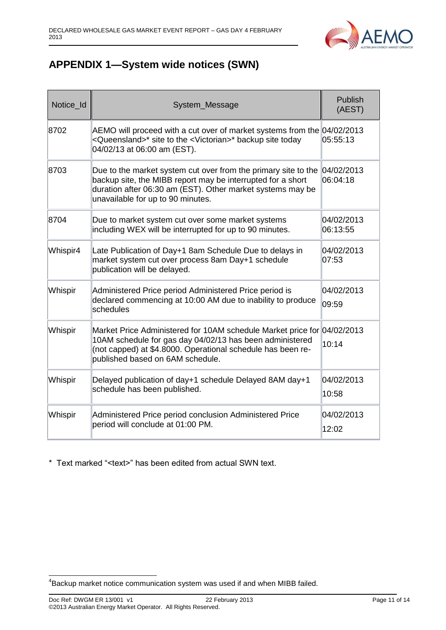

## <span id="page-10-0"></span>**APPENDIX 1—System wide notices (SWN)**

| Notice_Id | System_Message                                                                                                                                                                                                                         | <b>Publish</b><br>(AEST) |
|-----------|----------------------------------------------------------------------------------------------------------------------------------------------------------------------------------------------------------------------------------------|--------------------------|
| 8702      | AEMO will proceed with a cut over of market systems from the 04/02/2013<br><queensland>* site to the <victorian>* backup site today<br/>04/02/13 at 06:00 am (EST).</victorian></queensland>                                           | 05:55:13                 |
| 8703      | Due to the market system cut over from the primary site to the<br>backup site, the MIBB report may be interrupted for a short<br>duration after 06:30 am (EST). Other market systems may be<br>unavailable for up to 90 minutes.       | 04/02/2013<br>06:04:18   |
| 8704      | Due to market system cut over some market systems<br>including WEX will be interrupted for up to 90 minutes.                                                                                                                           | 04/02/2013<br>06:13:55   |
| Whispir4  | Late Publication of Day+1 8am Schedule Due to delays in<br>market system cut over process 8am Day+1 schedule<br>publication will be delayed.                                                                                           | 04/02/2013<br> 07:53     |
| Whispir   | Administered Price period Administered Price period is<br>declared commencing at 10:00 AM due to inability to produce<br>schedules                                                                                                     | 04/02/2013<br>09:59      |
| Whispir   | Market Price Administered for 10AM schedule Market price for 04/02/2013<br>10AM schedule for gas day 04/02/13 has been administered<br>(not capped) at \$4.8000. Operational schedule has been re-<br>published based on 6AM schedule. | 10:14                    |
| Whispir   | Delayed publication of day+1 schedule Delayed 8AM day+1<br>schedule has been published.                                                                                                                                                | 04/02/2013<br>10:58      |
| Whispir   | Administered Price period conclusion Administered Price<br>period will conclude at 01:00 PM.                                                                                                                                           | 04/02/2013<br>12:02      |

\* Text marked "<text>" has been edited from actual SWN text.

 4 Backup market notice communication system was used if and when MIBB failed.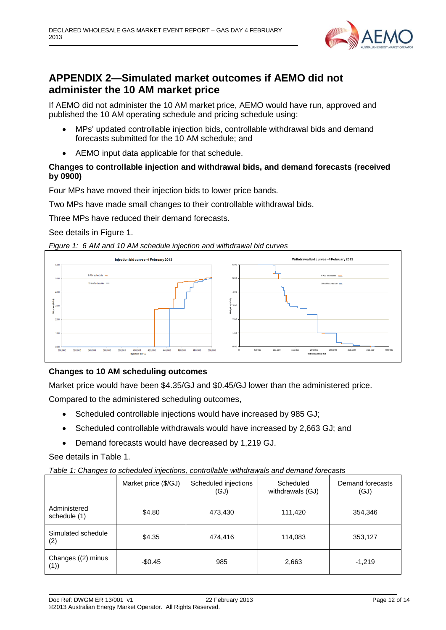

## <span id="page-11-0"></span>**APPENDIX 2—Simulated market outcomes if AEMO did not administer the 10 AM market price**

If AEMO did not administer the 10 AM market price, AEMO would have run, approved and published the 10 AM operating schedule and pricing schedule using:

- MPs' updated controllable injection bids, controllable withdrawal bids and demand forecasts submitted for the 10 AM schedule; and
- AEMO input data applicable for that schedule.

#### **Changes to controllable injection and withdrawal bids, and demand forecasts (received by 0900)**

Four MPs have moved their injection bids to lower price bands.

Two MPs have made small changes to their controllable withdrawal bids.

Three MPs have reduced their demand forecasts.

See details in Figure 1.





#### **Changes to 10 AM scheduling outcomes**

Market price would have been \$4.35/GJ and \$0.45/GJ lower than the administered price.

Compared to the administered scheduling outcomes,

- Scheduled controllable injections would have increased by 985 GJ;
- Scheduled controllable withdrawals would have increased by 2,663 GJ; and
- Demand forecasts would have decreased by 1,219 GJ.

See details in Table 1.

*Table 1: Changes to scheduled injections, controllable withdrawals and demand forecasts*

|                              | Market price (\$/GJ) | Scheduled injections<br>(GJ) | Scheduled<br>withdrawals (GJ) | Demand forecasts<br>(GJ) |
|------------------------------|----------------------|------------------------------|-------------------------------|--------------------------|
| Administered<br>schedule (1) | \$4.80               | 473,430                      | 111,420                       | 354,346                  |
| Simulated schedule<br>(2)    | \$4.35               | 474,416                      | 114,083                       | 353,127                  |
| Changes ((2) minus<br>(1))   | $-$0.45$             | 985                          | 2,663                         | $-1.219$                 |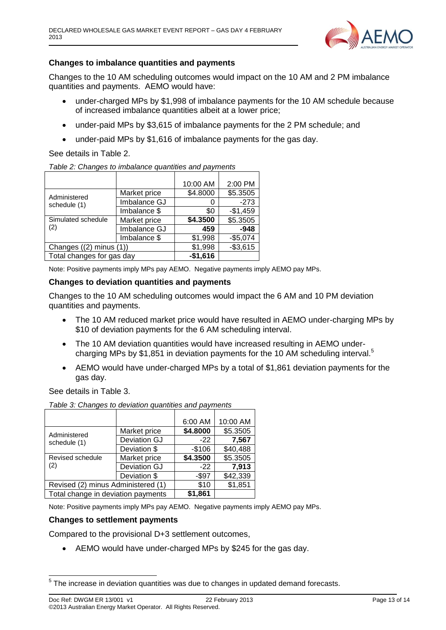

#### **Changes to imbalance quantities and payments**

Changes to the 10 AM scheduling outcomes would impact on the 10 AM and 2 PM imbalance quantities and payments. AEMO would have:

- under-charged MPs by \$1,998 of imbalance payments for the 10 AM schedule because of increased imbalance quantities albeit at a lower price;
- under-paid MPs by \$3,615 of imbalance payments for the 2 PM schedule; and
- under-paid MPs by \$1,616 of imbalance payments for the gas day.

#### See details in Table 2.

| Table 2: Changes to imbalance quantities and payments |  |  |
|-------------------------------------------------------|--|--|
|                                                       |  |  |

|                             |              | 10:00 AM  | 2:00 PM   |
|-----------------------------|--------------|-----------|-----------|
| Administered                | Market price | \$4.8000  | \$5.3505  |
| schedule (1)                | Imbalance GJ |           | $-273$    |
|                             | Imbalance \$ | \$0       | $-$1,459$ |
| Simulated schedule          | Market price | \$4.3500  | \$5.3505  |
| (2)                         | Imbalance GJ | 459       | $-948$    |
|                             | Imbalance \$ | \$1,998   | $-$5,074$ |
| Changes $((2)$ minus $(1))$ |              | \$1,998   | $-$3,615$ |
| Total changes for gas day   |              | $-$1,616$ |           |

Note: Positive payments imply MPs pay AEMO. Negative payments imply AEMO pay MPs.

#### **Changes to deviation quantities and payments**

Changes to the 10 AM scheduling outcomes would impact the 6 AM and 10 PM deviation quantities and payments.

- The 10 AM reduced market price would have resulted in AEMO under-charging MPs by \$10 of deviation payments for the 6 AM scheduling interval.
- The 10 AM deviation quantities would have increased resulting in AEMO undercharging MPs by \$1,851 in deviation payments for the 10 AM scheduling interval.<sup>5</sup>
- AEMO would have under-charged MPs by a total of \$1,861 deviation payments for the gas day.

See details in Table 3.

| Table 3: Changes to deviation quantities and payments |              |          |          |
|-------------------------------------------------------|--------------|----------|----------|
|                                                       |              |          |          |
|                                                       |              | 6:00 AM  | 10:00 AM |
| Administered                                          | Market price | \$4.8000 | \$5.3505 |
| schedule (1)                                          | Deviation GJ | $-22$    | 7,567    |
|                                                       | Deviation \$ | $-$106$  | \$40,488 |
| Revised schedule                                      | Market price | \$4.3500 | \$5.3505 |
| (2)                                                   | Deviation GJ | $-22$    | 7,913    |
|                                                       | Deviation \$ | $-$ \$97 | \$42,339 |
| Revised (2) minus Administered (1)                    |              | \$10     | \$1,851  |
| Total change in deviation payments                    | \$1.861      |          |          |

Note: Positive payments imply MPs pay AEMO. Negative payments imply AEMO pay MPs.

#### **Changes to settlement payments**

Compared to the provisional D+3 settlement outcomes,

AEMO would have under-charged MPs by \$245 for the gas day.

<sup>&</sup>lt;u>Figure 20 increase in deviation quantities</u> was due to changes in updated demand forecasts.